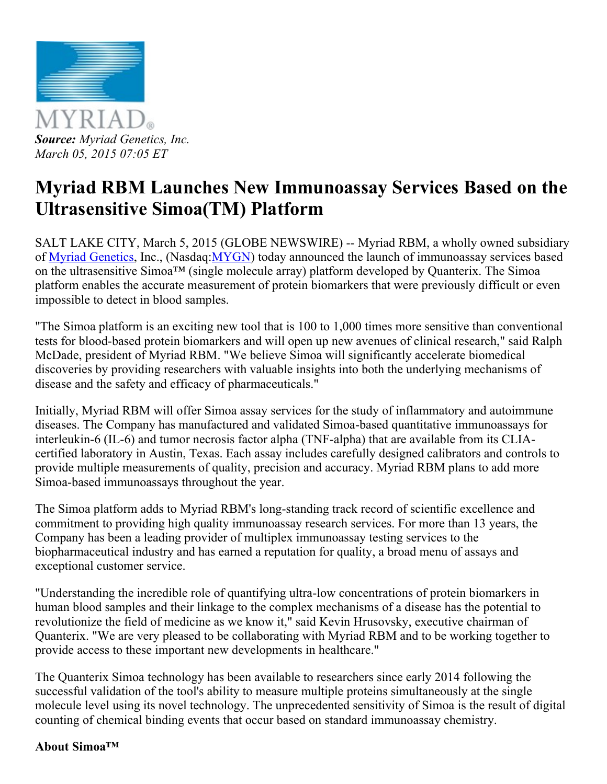

# Myriad RBM Launches New Immunoassay Services Based on the Ultrasensitive Simoa(TM) Platform

SALT LAKE CITY, March 5, 2015 (GLOBE NEWSWIRE) -- Myriad RBM, a wholly owned subsidiary of Myriad [Genetics,](http://globenewswire.com/Tracker?data=_S0n_COrng973UFaQTRVg2nCKOfLN_C5AyevpwJHPKlzhfigDS646wbymbAFL4x4JAUg59ZAqoy4sX_5TtEozw%3D%3D) Inc., (Nasdaq[:MYGN\)](http://globenewswire.com/News/Listing?symbol=MYGN&exchange=2) today announced the launch of immunoassay services based on the ultrasensitive Simoa™ (single molecule array) platform developed by Quanterix. The Simoa platform enables the accurate measurement of protein biomarkers that were previously difficult or even impossible to detect in blood samples.

"The Simoa platform is an exciting new tool that is 100 to 1,000 times more sensitive than conventional tests for blood-based protein biomarkers and will open up new avenues of clinical research," said Ralph McDade, president of Myriad RBM. "We believe Simoa will significantly accelerate biomedical discoveries by providing researchers with valuable insights into both the underlying mechanisms of disease and the safety and efficacy of pharmaceuticals."

Initially, Myriad RBM will offer Simoa assay services for the study of inflammatory and autoimmune diseases. The Company has manufactured and validated Simoa-based quantitative immunoassays for interleukin-6 (IL-6) and tumor necrosis factor alpha (TNF-alpha) that are available from its CLIAcertified laboratory in Austin, Texas. Each assay includes carefully designed calibrators and controls to provide multiple measurements of quality, precision and accuracy. Myriad RBM plans to add more Simoa-based immunoassays throughout the year.

The Simoa platform adds to Myriad RBM's long-standing track record of scientific excellence and commitment to providing high quality immunoassay research services. For more than 13 years, the Company has been a leading provider of multiplex immunoassay testing services to the biopharmaceutical industry and has earned a reputation for quality, a broad menu of assays and exceptional customer service.

"Understanding the incredible role of quantifying ultra-low concentrations of protein biomarkers in human blood samples and their linkage to the complex mechanisms of a disease has the potential to revolutionize the field of medicine as we know it," said Kevin Hrusovsky, executive chairman of Quanterix. "We are very pleased to be collaborating with Myriad RBM and to be working together to provide access to these important new developments in healthcare."

The Quanterix Simoa technology has been available to researchers since early 2014 following the successful validation of the tool's ability to measure multiple proteins simultaneously at the single molecule level using its novel technology. The unprecedented sensitivity of Simoa is the result of digital counting of chemical binding events that occur based on standard immunoassay chemistry.

#### About Simoa™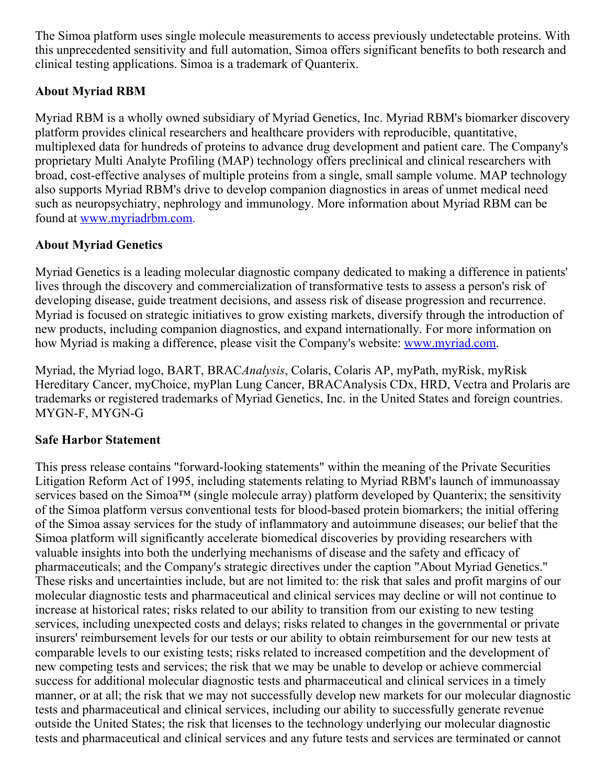The Simoa platform uses single molecule measurements to access previously undetectable proteins. With this unprecedented sensitivity and full automation, Simoa offers significant benefits to both research and clinical testing applications. Simoa is a trademark of Quanterix.

# About Myriad RBM

Myriad RBM is a wholly owned subsidiary of Myriad Genetics, Inc. Myriad RBM's biomarker discovery platform provides clinical researchers and healthcare providers with reproducible, quantitative, multiplexed data for hundreds of proteins to advance drug development and patient care. The Company's proprietary Multi Analyte Profiling (MAP) technology offers preclinical and clinical researchers with broad, costeffective analyses of multiple proteins from a single, small sample volume. MAP technology also supports Myriad RBM's drive to develop companion diagnostics in areas of unmet medical need such as neuropsychiatry, nephrology and immunology. More information about Myriad RBM can be found at [www.myriadrbm.com.](http://globenewswire.com/Tracker?data=3irR4JQUKQnr6sScUEY9n0NRim-6EKvyB0WSB2oyrxrkAyjrzwYiWTxXXRi7NFBYhCfXGHyyybn8K7fSBJ921A%3D%3D)

# About Myriad Genetics

Myriad Genetics is a leading molecular diagnostic company dedicated to making a difference in patients' lives through the discovery and commercialization of transformative tests to assess a person's risk of developing disease, guide treatment decisions, and assess risk of disease progression and recurrence. Myriad is focused on strategic initiatives to grow existing markets, diversify through the introduction of new products, including companion diagnostics, and expand internationally. For more information on how Myriad is making a difference, please visit the Company's website: [www.myriad.com.](http://globenewswire.com/Tracker?data=3irR4JQUKQnr6sScUEY9n8h90jGLXkiZElZnr2hFx3i5bZYPi_FxFFai3-JD74DX9UiSLkx_m5Ke2Wcy6mvyHw%3D%3D)

Myriad, the Myriad logo, BART, BRACAnalysis, Colaris, Colaris AP, myPath, myRisk, myRisk Hereditary Cancer, myChoice, myPlan Lung Cancer, BRACAnalysis CDx, HRD, Vectra and Prolaris are trademarks or registered trademarks of Myriad Genetics, Inc. in the United States and foreign countries. MYGN-F, MYGN-G

# Safe Harbor Statement

This press release contains "forward-looking statements" within the meaning of the Private Securities Litigation Reform Act of 1995, including statements relating to Myriad RBM's launch of immunoassay services based on the Simoa™ (single molecule array) platform developed by Quanterix; the sensitivity of the Simoa platform versus conventional tests for blood-based protein biomarkers; the initial offering of the Simoa assay services for the study of inflammatory and autoimmune diseases; our belief that the Simoa platform will significantly accelerate biomedical discoveries by providing researchers with valuable insights into both the underlying mechanisms of disease and the safety and efficacy of pharmaceuticals; and the Company's strategic directives under the caption "About Myriad Genetics." These risks and uncertainties include, but are not limited to: the risk that sales and profit margins of our molecular diagnostic tests and pharmaceutical and clinical services may decline or will not continue to increase at historical rates; risks related to our ability to transition from our existing to new testing services, including unexpected costs and delays; risks related to changes in the governmental or private insurers' reimbursement levels for our tests or our ability to obtain reimbursement for our new tests at comparable levels to our existing tests; risks related to increased competition and the development of new competing tests and services; the risk that we may be unable to develop or achieve commercial success for additional molecular diagnostic tests and pharmaceutical and clinical services in a timely manner, or at all; the risk that we may not successfully develop new markets for our molecular diagnostic tests and pharmaceutical and clinical services, including our ability to successfully generate revenue outside the United States; the risk that licenses to the technology underlying our molecular diagnostic tests and pharmaceutical and clinical services and any future tests and services are terminated or cannot